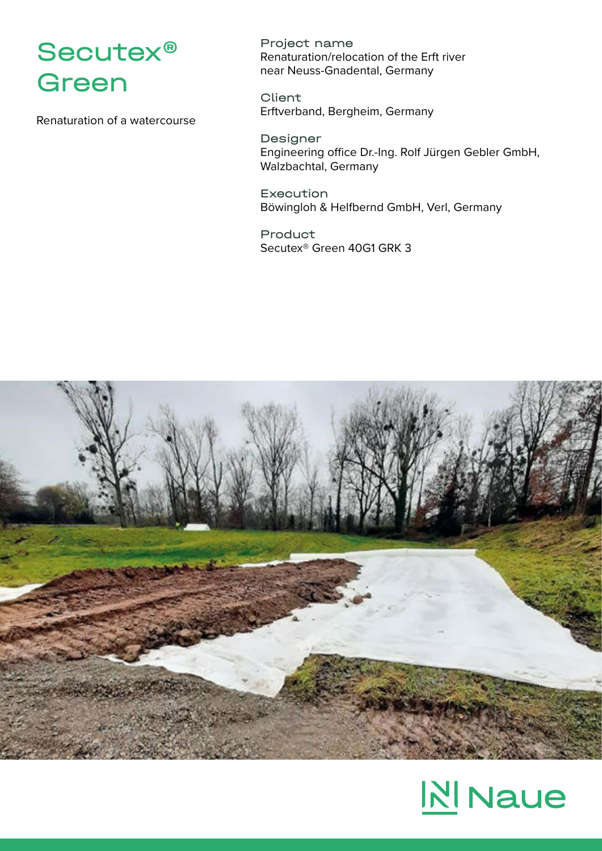## Secutex® Green

Renaturation of a watercourse

Project name Renaturation/relocation of the Erft river near Neuss-Gnadental, Germany

**Client** Erftverband, Bergheim, Germany

Designer Engineering office Dr.-Ing. Rolf Jürgen Gebler GmbH, Walzbachtal, Germany

Execution Böwingloh & Helfbernd GmbH, Verl, Germany

Product Secutex® Green 40G1 GRK 3



## **N** Naue